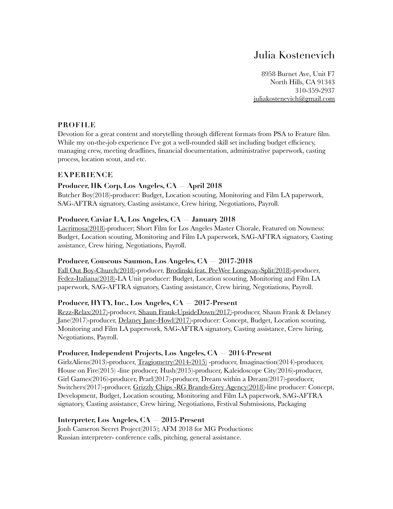# Julia Kostenevich

8958 Burnet Ave, Unit F7 North Hills, CA 91343 310-359-2937 [juliakostenevich@gmail.com](mailto:juliakostenevich@gmail.com)

# **PROFILE**

Devotion for a great content and storytelling through different formats from PSA to Feature film. While my on-the-job experience I've got a well-rounded skill set including budget efficiency, managing crew, meeting deadlines, financial documentation, administrative paperwork, casting process, location scout, and etc.

## **EXPERIENCE**

# **Producer, HK Corp, Los Angeles, CA — April 2018**

Butcher Boy(2018)-producer: Budget, Location scouting, Monitoring and Film LA paperwork, SAG-AFTRA signatory, Casting assistance, Crew hiring, Negotiations, Payroll.

## **Producer, Caviar LA, Los Angeles, CA — January 2018**

[Lacrimosa\(2018\)-](https://www.nowness.com/story/lacrimosa-los-angeles-master-chorale)producer; Short Film for Los Angeles Master Chorale, Featured on Nowness: Budget, Location scouting, Monitoring and Film LA paperwork, SAG-AFTRA signatory, Casting assistance, Crew hiring, Negotiations, Payroll.

#### **Producer, Couscous Saumon, Los Angeles, CA — 2017-2018**

[Fall Out Boy-Church\(2018\)-](https://www.youtube.com/watch?v=l3vbvF8bQfI)producer, [Brodinski feat. PeeWee Longway-Split\(2018\)-](https://vimeo.com/279624934)producer, [Fedez-Italiana\(2018\)-](https://www.youtube.com/watch?v=OjkfOX-g6Js)LA Unit producer: Budget, Location scouting, Monitoring and Film LA paperwork, SAG-AFTRA signatory, Casting assistance, Crew hiring, Negotiations, Payroll.

#### **Producer, HYTY, Inc., Los Angeles, CA — 2017-Present**

[Rezz-Relax\(2017\)-](https://www.youtube.com/watch?v=Z1PT-i2n9mY)producer, [Shaun Frank-UpsideDown\(2017\)](https://www.youtube.com/watch?v=o88B2K6Lhpg)-producer, Shaun Frank & Delaney Jane(2017)-producer, [Delaney Jane-Howl\(2017\)-](https://www.youtube.com/watch?v=DmnVyCFOcpY)producer: Concept, Budget, Location scouting, Monitoring and Film LA paperwork, SAG-AFTRA signatory, Casting assistance, Crew hiring, Negotiations, Payroll.

#### **Producer, Independent Projects, Los Angeles, CA — 2014-Present**

GirlzAliens(2013)-producer, [Tragiometry\(2014-2015\)](https://vimeo.com/126853919) -producer, Imaginaction(2014)-producer, House on Fire(2015) -line producer, Hush(2015)-producer, Kaleidoscope City(2016)-producer, Girl Games(2016)-producer, Pearl(2017)-producer, Dream within a Dream(2017)-producer, Switchers(2017)-producer, [Grizzly Chips -RG Brands-Grey Agency\(2018\)-](https://vimeo.com/285098094)line producer: Concept, Development, Budget, Location scouting, Monitoring and Film LA paperwork, SAG-AFTRA signatory, Casting assistance, Crew hiring, Negotiations, Festival Submissions, Packaging

#### **Interpreter, Los Angeles, CA — 2015-Present**

Jonh Cameron Secret Project(2015); AFM 2018 for MG Productions: Russian interpreter- conference calls, pitching, general assistance.